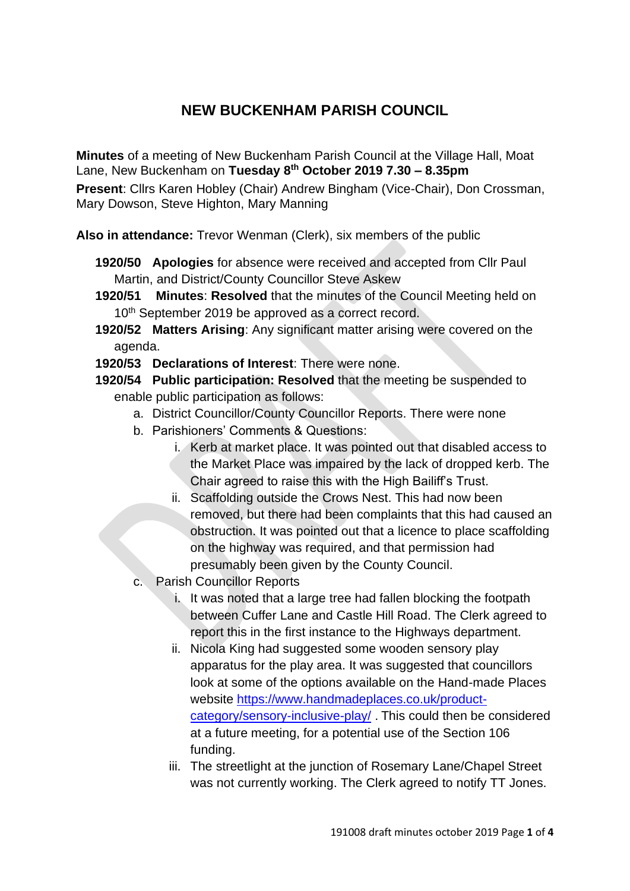# **NEW BUCKENHAM PARISH COUNCIL**

**Minutes** of a meeting of New Buckenham Parish Council at the Village Hall, Moat Lane, New Buckenham on **Tuesday 8 th October 2019 7.30 – 8.35pm**

**Present**: Cllrs Karen Hobley (Chair) Andrew Bingham (Vice-Chair), Don Crossman, Mary Dowson, Steve Highton, Mary Manning

**Also in attendance:** Trevor Wenman (Clerk), six members of the public

- **1920/50 Apologies** for absence were received and accepted from Cllr Paul Martin, and District/County Councillor Steve Askew
- **1920/51 Minutes**: **Resolved** that the minutes of the Council Meeting held on 10<sup>th</sup> September 2019 be approved as a correct record.
- **1920/52 Matters Arising**: Any significant matter arising were covered on the agenda.
- **1920/53 Declarations of Interest**: There were none.
- **1920/54 Public participation: Resolved** that the meeting be suspended to enable public participation as follows:
	- a. District Councillor/County Councillor Reports. There were none
	- b. Parishioners' Comments & Questions:
		- i. Kerb at market place. It was pointed out that disabled access to the Market Place was impaired by the lack of dropped kerb. The Chair agreed to raise this with the High Bailiff's Trust.
		- ii. Scaffolding outside the Crows Nest. This had now been removed, but there had been complaints that this had caused an obstruction. It was pointed out that a licence to place scaffolding on the highway was required, and that permission had presumably been given by the County Council.
	- c. Parish Councillor Reports
		- i. It was noted that a large tree had fallen blocking the footpath between Cuffer Lane and Castle Hill Road. The Clerk agreed to report this in the first instance to the Highways department.
		- ii. Nicola King had suggested some wooden sensory play apparatus for the play area. It was suggested that councillors look at some of the options available on the Hand-made Places website [https://www.handmadeplaces.co.uk/product](https://www.handmadeplaces.co.uk/product-category/sensory-inclusive-play/)[category/sensory-inclusive-play/](https://www.handmadeplaces.co.uk/product-category/sensory-inclusive-play/) . This could then be considered at a future meeting, for a potential use of the Section 106 funding.
		- iii. The streetlight at the junction of Rosemary Lane/Chapel Street was not currently working. The Clerk agreed to notify TT Jones.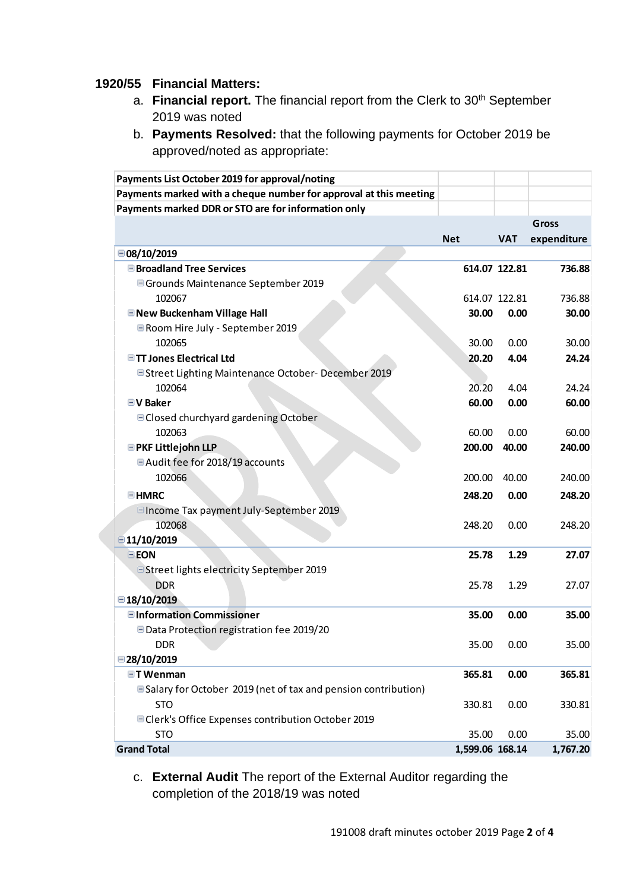#### **1920/55 Financial Matters:**

- a. **Financial report.** The financial report from the Clerk to 30th September 2019 was noted
- b. **Payments Resolved:** that the following payments for October 2019 be approved/noted as appropriate:

| Payments List October 2019 for approval/noting                        |                 |               |              |
|-----------------------------------------------------------------------|-----------------|---------------|--------------|
| Payments marked with a cheque number for approval at this meeting     |                 |               |              |
| Payments marked DDR or STO are for information only                   |                 |               |              |
|                                                                       |                 |               | <b>Gross</b> |
|                                                                       | <b>Net</b>      | <b>VAT</b>    | expenditure  |
| □08/10/2019                                                           |                 |               |              |
| <b>■Broadland Tree Services</b>                                       |                 | 614.07 122.81 | 736.88       |
| □ Grounds Maintenance September 2019                                  |                 |               |              |
| 102067                                                                |                 | 614.07 122.81 | 736.88       |
| <b>■ New Buckenham Village Hall</b>                                   | 30.00           | 0.00          | 30.00        |
| Room Hire July - September 2019                                       |                 |               |              |
| 102065                                                                | 30.00           | 0.00          | 30.00        |
| <b>■TT Jones Electrical Ltd</b>                                       | 20.20           | 4.04          | 24.24        |
| □ Street Lighting Maintenance October- December 2019                  |                 |               |              |
| 102064                                                                | 20.20           | 4.04          | 24.24        |
| <b>■V Baker</b>                                                       | 60.00           | 0.00          | 60.00        |
| □ Closed churchyard gardening October                                 |                 |               |              |
| 102063                                                                | 60.00           | 0.00          | 60.00        |
| <b>EPKF Littlejohn LLP</b>                                            | 200.00          | 40.00         | 240.00       |
| □ Audit fee for 2018/19 accounts                                      |                 |               |              |
| 102066                                                                | 200.00          | 40.00         | 240.00       |
| <b>EHMRC</b>                                                          | 248.20          | 0.00          | 248.20       |
| □ Income Tax payment July-September 2019                              |                 |               |              |
| 102068                                                                | 248.20          | 0.00          | 248.20       |
| $\Box$ 11/10/2019                                                     |                 |               |              |
| <b>EEON</b>                                                           | 25.78           | 1.29          | 27.07        |
| □ Street lights electricity September 2019                            |                 |               |              |
| <b>DDR</b>                                                            | 25.78           | 1.29          | 27.07        |
| ■18/10/2019                                                           |                 |               |              |
| <b>■Information Commissioner</b>                                      | 35.00           | 0.00          | 35.00        |
| Data Protection registration fee 2019/20                              |                 |               |              |
| <b>DDR</b>                                                            | 35.00           | 0.00          | 35.00        |
| ■28/10/2019                                                           |                 |               |              |
| <b>□T Wenman</b>                                                      | 365.81          | 0.00          | 365.81       |
| <b>■Salary for October 2019 (net of tax and pension contribution)</b> |                 |               |              |
| <b>STO</b>                                                            | 330.81          | 0.00          | 330.81       |
| □ Clerk's Office Expenses contribution October 2019                   |                 |               |              |
| <b>STO</b>                                                            | 35.00           | 0.00          | 35.00        |
| <b>Grand Total</b>                                                    | 1,599.06 168.14 |               | 1,767.20     |

c. **External Audit** The report of the External Auditor regarding the completion of the 2018/19 was noted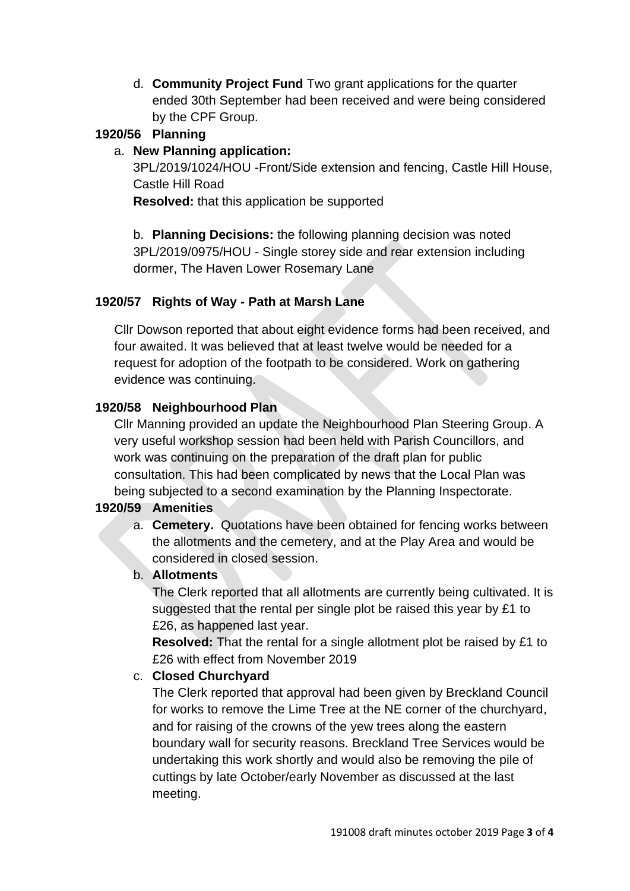d. **Community Project Fund** Two grant applications for the quarter ended 30th September had been received and were being considered by the CPF Group.

# **1920/56 Planning**

#### a. **New Planning application:**

3PL/2019/1024/HOU -Front/Side extension and fencing, Castle Hill House, Castle Hill Road

**Resolved:** that this application be supported

b. **Planning Decisions:** the following planning decision was noted 3PL/2019/0975/HOU - Single storey side and rear extension including dormer, The Haven Lower Rosemary Lane

### **1920/57 Rights of Way - Path at Marsh Lane**

Cllr Dowson reported that about eight evidence forms had been received, and four awaited. It was believed that at least twelve would be needed for a request for adoption of the footpath to be considered. Work on gathering evidence was continuing.

### **1920/58 Neighbourhood Plan**

Cllr Manning provided an update the Neighbourhood Plan Steering Group. A very useful workshop session had been held with Parish Councillors, and work was continuing on the preparation of the draft plan for public consultation. This had been complicated by news that the Local Plan was being subjected to a second examination by the Planning Inspectorate.

### **1920/59 Amenities**

a. **Cemetery.** Quotations have been obtained for fencing works between the allotments and the cemetery, and at the Play Area and would be considered in closed session.

### b. **Allotments**

The Clerk reported that all allotments are currently being cultivated. It is suggested that the rental per single plot be raised this year by £1 to £26, as happened last year.

**Resolved:** That the rental for a single allotment plot be raised by £1 to £26 with effect from November 2019

### c. **Closed Churchyard**

The Clerk reported that approval had been given by Breckland Council for works to remove the Lime Tree at the NE corner of the churchyard, and for raising of the crowns of the yew trees along the eastern boundary wall for security reasons. Breckland Tree Services would be undertaking this work shortly and would also be removing the pile of cuttings by late October/early November as discussed at the last meeting.